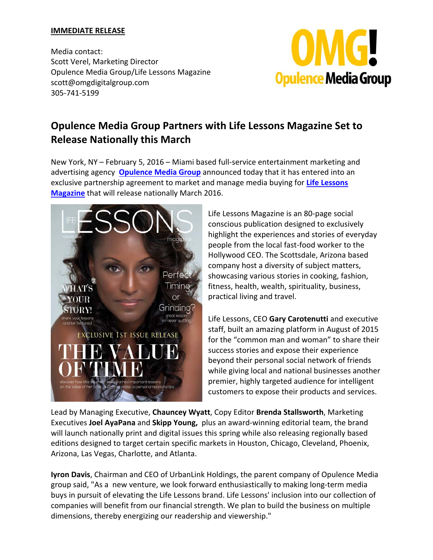## **IMMEDIATE RELEASE**

Media contact: Scott Verel, Marketing Director Opulence Media Group/Life Lessons Magazine scott@omgdigitalgroup.com 305‐741‐5199



## **Opulence Media Group Partners with Life Lessons Magazine Set to Release Nationally this March**

New York, NY – February 5, 2016 – Miami based full‐service entertainment marketing and advertising agency **Opulence Media Group** announced today that it has entered into an exclusive partnership agreement to market and manage media buying for **Life Lessons Magazine** that will release nationally March 2016.



Life Lessons Magazine is an 80‐page social conscious publication designed to exclusively highlight the experiences and stories of everyday people from the local fast‐food worker to the Hollywood CEO. The Scottsdale, Arizona based company host a diversity of subject matters, showcasing various stories in cooking, fashion, fitness, health, wealth, spirituality, business, practical living and travel.

Life Lessons, CEO **Gary Carotenutti** and executive staff, built an amazing platform in August of 2015 for the "common man and woman" to share their success stories and expose their experience beyond their personal social network of friends while giving local and national businesses another premier, highly targeted audience for intelligent customers to expose their products and services.

Lead by Managing Executive, **Chauncey Wyatt**, Copy Editor **Brenda Stallsworth**, Marketing Executives **Joel AyaPana** and **Skipp Young,** plus an award‐winning editorial team, the brand will launch nationally print and digital issues this spring while also releasing regionally based editions designed to target certain specific markets in Houston, Chicago, Cleveland, Phoenix, Arizona, Las Vegas, Charlotte, and Atlanta.

**Iyron Davis**, Chairman and CEO of UrbanLink Holdings, the parent company of Opulence Media group said, "As a new venture, we look forward enthusiastically to making long‐term media buys in pursuit of elevating the Life Lessons brand. Life Lessons' inclusion into our collection of companies will benefit from our financial strength. We plan to build the business on multiple dimensions, thereby energizing our readership and viewership."